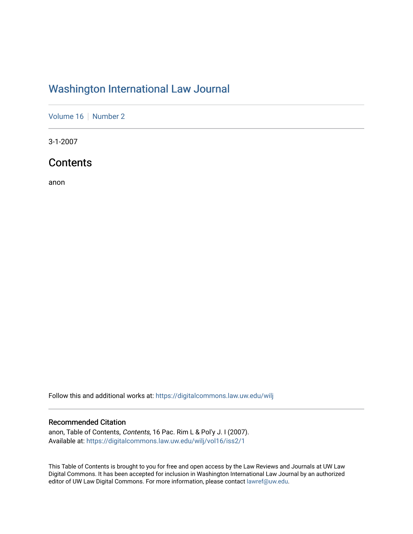## [Washington International Law Journal](https://digitalcommons.law.uw.edu/wilj)

[Volume 16](https://digitalcommons.law.uw.edu/wilj/vol16) | [Number 2](https://digitalcommons.law.uw.edu/wilj/vol16/iss2)

3-1-2007

## **Contents**

anon

Follow this and additional works at: [https://digitalcommons.law.uw.edu/wilj](https://digitalcommons.law.uw.edu/wilj?utm_source=digitalcommons.law.uw.edu%2Fwilj%2Fvol16%2Fiss2%2F1&utm_medium=PDF&utm_campaign=PDFCoverPages) 

### Recommended Citation

anon, Table of Contents, Contents, 16 Pac. Rim L & Pol'y J. I (2007). Available at: [https://digitalcommons.law.uw.edu/wilj/vol16/iss2/1](https://digitalcommons.law.uw.edu/wilj/vol16/iss2/1?utm_source=digitalcommons.law.uw.edu%2Fwilj%2Fvol16%2Fiss2%2F1&utm_medium=PDF&utm_campaign=PDFCoverPages) 

This Table of Contents is brought to you for free and open access by the Law Reviews and Journals at UW Law Digital Commons. It has been accepted for inclusion in Washington International Law Journal by an authorized editor of UW Law Digital Commons. For more information, please contact [lawref@uw.edu](mailto:lawref@uw.edu).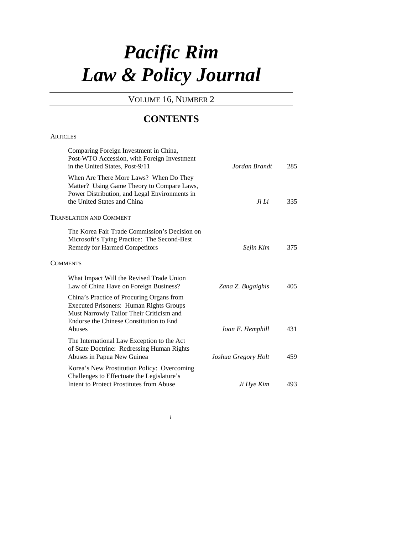# *Pacific Rim Law & Policy Journal*

VOLUME 16, NUMBER 2

## **CONTENTS**

#### **ARTICLES**

| Comparing Foreign Investment in China,<br>Post-WTO Accession, with Foreign Investment<br>in the United States, Post-9/11                                                           | Jordan Brandt       | 285 |
|------------------------------------------------------------------------------------------------------------------------------------------------------------------------------------|---------------------|-----|
| When Are There More Laws? When Do They<br>Matter? Using Game Theory to Compare Laws,<br>Power Distribution, and Legal Environments in<br>the United States and China               | Ji Li               | 335 |
| <b>TRANSLATION AND COMMENT</b>                                                                                                                                                     |                     |     |
| The Korea Fair Trade Commission's Decision on<br>Microsoft's Tying Practice: The Second-Best<br><b>Remedy for Harmed Competitors</b>                                               | Sejin Kim           | 375 |
| <b>COMMENTS</b>                                                                                                                                                                    |                     |     |
| What Impact Will the Revised Trade Union<br>Law of China Have on Foreign Business?                                                                                                 | Zana Z. Bugaighis   | 405 |
| China's Practice of Procuring Organs from<br><b>Executed Prisoners: Human Rights Groups</b><br>Must Narrowly Tailor Their Criticism and<br>Endorse the Chinese Constitution to End |                     |     |
| <b>Abuses</b>                                                                                                                                                                      | Joan E. Hemphill    | 431 |
| The International Law Exception to the Act<br>of State Doctrine: Redressing Human Rights<br>Abuses in Papua New Guinea                                                             | Joshua Gregory Holt | 459 |
| Korea's New Prostitution Policy: Overcoming<br>Challenges to Effectuate the Legislature's<br>Intent to Protect Prostitutes from Abuse                                              | Ji Hye Kim          | 493 |
|                                                                                                                                                                                    |                     |     |

*i*